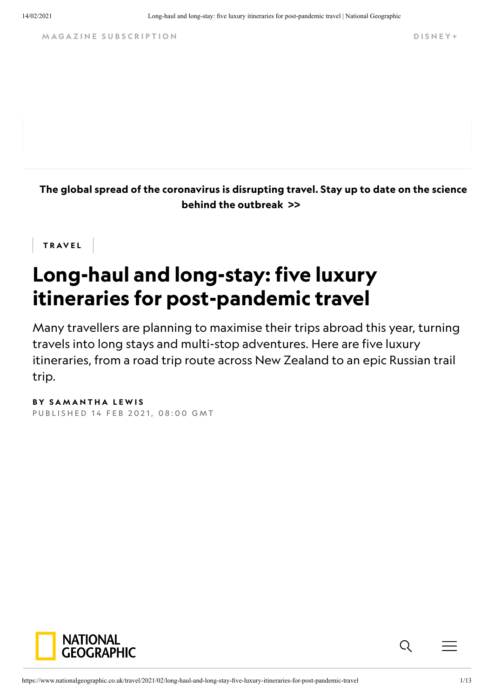M A G A Z I N E SUBSCRIPTION DISNEY +

[The global spread of the coronavirus is disrupting travel. Stay up to date on the science](https://www.nationalgeographic.co.uk/coronavirus) behind the outbreak >>

**TRAVEL** 

# Long-haul and long-stay: five luxury itineraries for post-pandemic travel

Many travellers are planning to maximise their trips abroad this year, turning travels into long stays and multi-stop adventures. Here are five luxury itineraries, from a road trip route across New Zealand to an epic Russian trail trip.

BY SAMANTHA LEWIS PUBLISHED 14 FEB 2021, 08:00 GMT



 $Q_{\parallel}$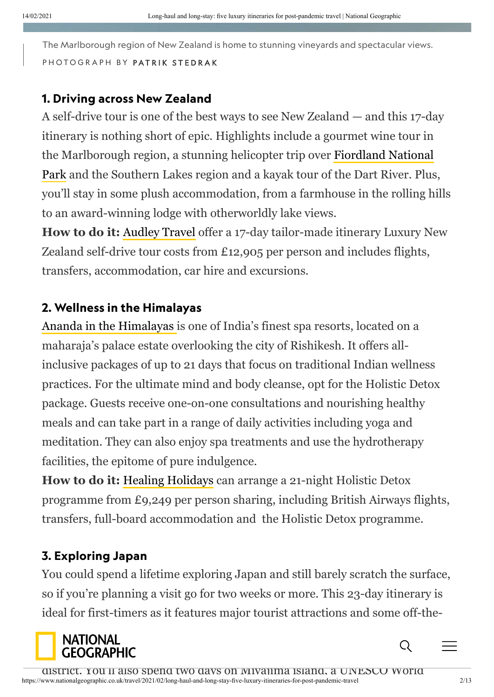The Marlborough region of New Zealand is home to stunning vineyards and spectacular views. P H O T O G R A P H B Y PATRIK STED RAK

#### 1. Driving across New Zealand

A self-drive tour is one of the best ways to see New Zealand — and this 17-day itinerary is nothing short of epic. Highlights include a gourmet wine tour in the Marlborough region, a stunning helicopter trip over Fiordland National [Park and the Southern Lakes region and a kayak tour of the Dart River. Plus](https://www.fiordland.org.nz/), you'll stay in some plush accommodation, from a farmhouse in the rolling hills to an award-winning lodge with otherworldly lake views.

**How to do it:** [Audley Travel](https://www.audleytravel.com/new-zealand) offer a 17-day tailor-made itinerary Luxury New Zealand self-drive tour costs from £12,905 per person and includes flights, transfers, accommodation, car hire and excursions.

#### 2. Wellness in the Himalayas

[Ananda in the Himalayas](https://www.anandaspa.com/) is one of India's finest spa resorts, located on a maharaja's palace estate overlooking the city of Rishikesh. It offers allinclusive packages of up to 21 days that focus on traditional Indian wellness practices. For the ultimate mind and body cleanse, opt for the Holistic Detox package. Guests receive one-on-one consultations and nourishing healthy meals and can take part in a range of daily activities including yoga and meditation. They can also enjoy spa treatments and use the hydrotherapy facilities, the epitome of pure indulgence.

**How to do it:** [Healing Holidays](https://healingholidays.com/) can arrange a 21-night Holistic Detox programme from £9,249 per person sharing, including British Airways flights, transfers, full-board accommodation and the Holistic Detox programme.

#### 3. Exploring Japan

You could spend a lifetime exploring Japan and still barely scratch the surface, so if you're planning a visit go for two weeks or more. This 23-day itinerary is ideal for first-timers as it features major tourist attractions and some off-the-

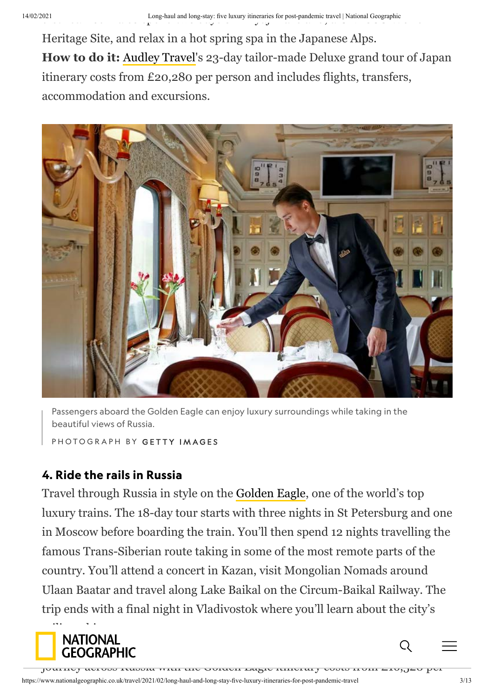Heritage Site, and relax in a hot spring spa in the Japanese Alps. **How to do it:** [Audley Travel](https://www.audleytravel.com/japan)'s 23-day tailor-made Deluxe grand tour of Japan itinerary costs from £20,280 per person and includes flights, transfers, accommodation and excursions.



Passengers aboard the Golden Eagle can enjoy luxury surroundings while taking in the beautiful views of Russia.

PHOTOGRAPH BY GETTY IMAGES

### 4. Ride the rails in Russia

Travel through Russia in style on the [Golden Eagle](https://www.goldeneagleluxurytrains.com/), one of the world's top luxury trains. The 18-day tour starts with three nights in St Petersburg and one in Moscow before boarding the train. You'll then spend 12 nights travelling the famous Trans-Siberian route taking in some of the most remote parts of the country. You'll attend a concert in Kazan, visit Mongolian Nomads around Ulaan Baatar and travel along Lake Baikal on the Circum-Baikal Railway. The trip ends with a final night in Vladivostok where you'll learn about the city's



https://www.nationalgeographic.co.uk/travel/2021/02/long-haul-and-long-stay-five-luxury-itineraries-for-post-pandemic-travel 3/13 journey across Russia with the Golden Eagle itinerary costs from £16,520 per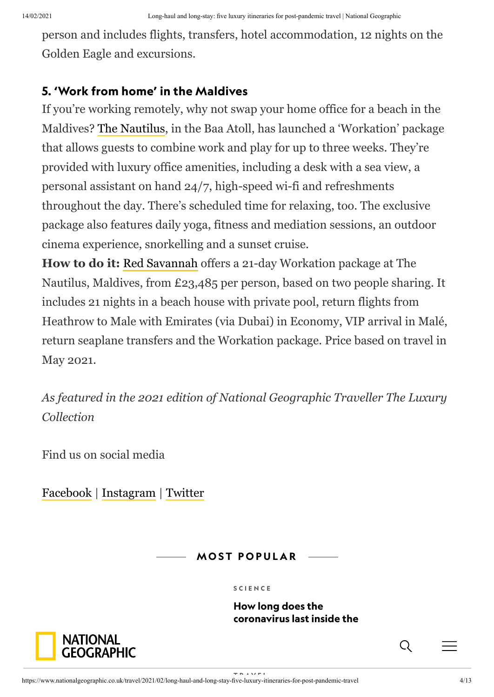person and includes flights, transfers, hotel accommodation, 12 nights on the Golden Eagle and excursions.

## 5. 'Work from home' in the Maldives

If you're working remotely, why not swap your home office for a beach in the Maldives? [The Nautilus,](https://www.thenautilusmaldives.com/) in the Baa Atoll, has launched a 'Workation' package that allows guests to combine work and play for up to three weeks. They're provided with luxury office amenities, including a desk with a sea view, a personal assistant on hand 24/7, high-speed wi-fi and refreshments throughout the day. There's scheduled time for relaxing, too. The exclusive package also features daily yoga, fitness and mediation sessions, an outdoor cinema experience, snorkelling and a sunset cruise.

**How to do it:** [Red Savannah](https://redsavannah.com/) offers a 21-day Workation package at The Nautilus, Maldives, from £23,485 per person, based on two people sharing. It includes 21 nights in a beach house with private pool, return flights from Heathrow to Male with Emirates (via Dubai) in Economy, VIP arrival in Malé, return seaplane transfers and the Workation package. Price based on travel in May 2021.

*As featured in the 2021 edition of National Geographic Traveller The Luxury Collection*

Find us on social media

[Facebook](https://www.facebook.com/NatGeoTravelUK/) | [Instagram](https://www.instagram.com/natgeotraveluk/) | [Twitter](https://twitter.com/natgeotraveluk/)

**MOST POPULAR** 

#### [S C I E N C E](https://www.nationalgeographic.co.uk/science)

[T R A V E L](https://www.nationalgeographic.co.uk/travel)

How long does the [coronavirus last inside the](https://www.nationalgeographic.co.uk/science-and-technology/2020/06/how-long-does-the-coronavirus-last-inside-the-body)

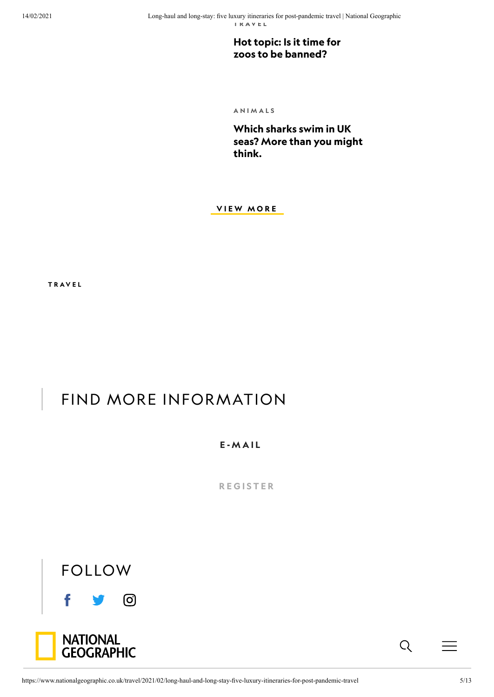[Hot topic: Is it time for](https://www.nationalgeographic.co.uk/travel/2017/05/hot-topic-it-time-zoos-be-banned) zoos to be banned?

[A N I M A L S](https://www.nationalgeographic.co.uk/animals)

Which sharks swim in UK [seas? More than you might](https://www.nationalgeographic.co.uk/animals/2020/07/which-sharks-swim-in-uk-seas-more-than-you-might-think) think.

**VIEW MORE** 

[T R A V E L](https://www.nationalgeographic.co.uk/travel)

# FIND MORE INFORMATION

E - M A I L

**REGISTER** 



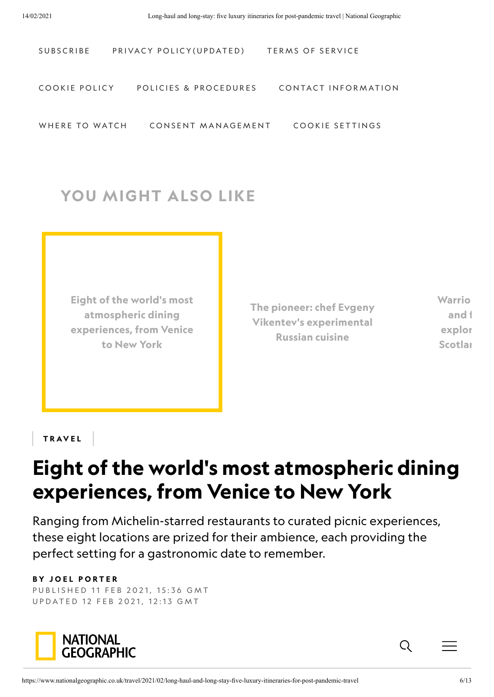| SUBSCRIBE      | PRIVACY POLICY (UPDATED) | TERMS OF SERVICE    |
|----------------|--------------------------|---------------------|
|                |                          |                     |
| COOKIE POLICY  | POLICIES & PROCEDURES    | CONTACT INFORMATION |
|                |                          |                     |
| WHERE TO WATCH | CONSENT MANAGEMENT       | COOKIE SETTINGS     |

# YOU MIGHT ALSO LIKE

[Eight of the world's most](https://www.nationalgeographic.co.uk/travel/2021/02/dining-destinations) atmospheric dining experiences, from Venice to New York

[The pioneer: chef Evgeny](https://www.nationalgeographic.co.uk/travel/2021/02/the-pioneer-chef-evgeny-vikentevs-experimental-russian-cuisine) Vikentev's experimental Russian cuisine

[Warrio](https://www.nationalgeographic.co.uk/travel/2021/02/warrior-queens-fairies-and-feuding-clans-exploring-legends-on-scotlands-isle-of-skye) and f explor **Scotlan** 

TRAVEL

# Eight of the world's most atmospheric dining experiences, from Venice to New York

Ranging from Michelin-starred restaurants to curated picnic experiences, these eight locations are prized for their ambience, each providing the perfect setting for a gastronomic date to remember.

#### **BY JOEL PORTER**

PUBLISHED 11 FEB 2021, 15:36 GMT U P D A T E D 12 F E B 2021, 12:13 G M T



 $Q_{\parallel}$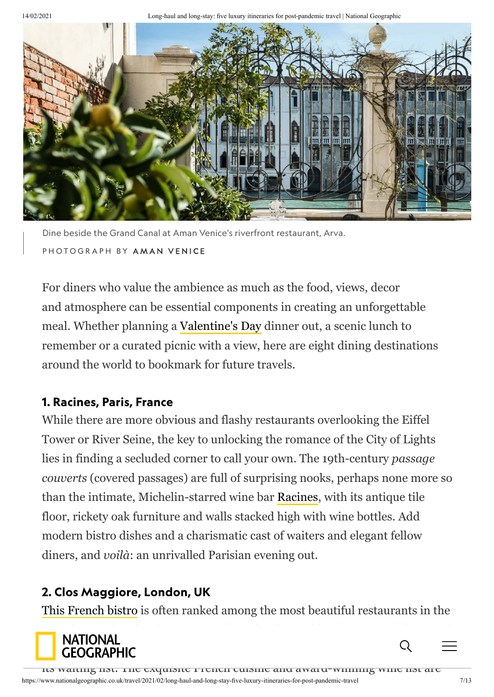14/02/2021 Long-haul and long-stay: five luxury itineraries for post-pandemic travel | National Geographic



Dine beside the Grand Canal at Aman Venice's riverfront restaurant, Arva. P H O T O G R A P H B Y A M A N V E N I C E

For diners who value the ambience as much as the food, views, decor and atmosphere can be essential components in creating an unforgettable meal. Whether planning a [Valentine's Day](https://www.nationalgeographic.co.uk/history-and-civilisation/2020/02/valentines-day-wasnt-always-about-love) dinner out, a scenic lunch to remember or a curated picnic with a view, here are eight dining destinations around the world to bookmark for future travels.

### 1. Racines, Paris, France

While there are more obvious and flashy restaurants overlooking the Eiffel Tower or River Seine, the key to unlocking the romance of the City of Lights lies in finding a secluded corner to call your own. The 19th-century *passage couverts* (covered passages) are full of surprising nooks, perhaps none more so than the intimate, Michelin-starred wine bar [Racines](https://racinesparis.com/), with its antique tile floor, rickety oak furniture and walls stacked high with wine bottles. Add modern bistro dishes and a charismatic cast of waiters and elegant fellow diners, and *voilà*: an unrivalled Parisian evening out.

## 2. Clos Maggiore, London, UK

[This French bistro](https://www.closmaggiore.com/) is often ranked among the most beautiful restaurants in the

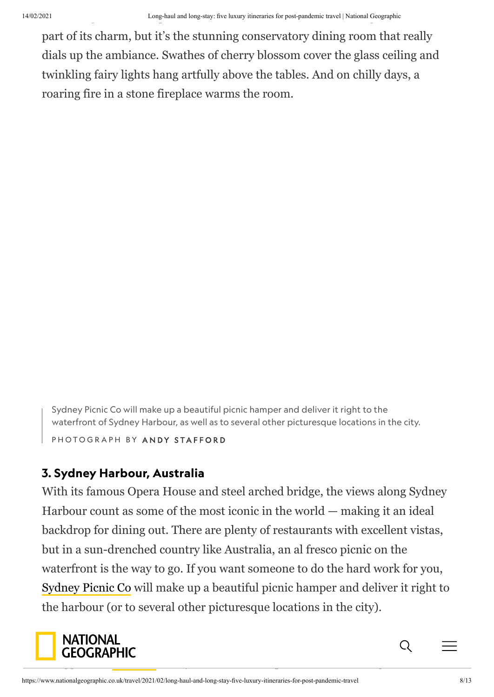part of its charm, but it's the stunning conservatory dining room that really dials up the ambiance. Swathes of cherry blossom cover the glass ceiling and twinkling fairy lights hang artfully above the tables. And on chilly days, a roaring fire in a stone fireplace warms the room.

Sydney Picnic Co will make up a beautiful picnic hamper and deliver it right to the waterfront of Sydney Harbour, as well as to several other picturesque locations in the city.

P H O T O G R A P H B Y A N D Y S T A F F O R D

### 3. Sydney Harbour, Australia

With its famous Opera House and steel arched bridge, the views along Sydney Harbour count as some of the most iconic in the world — making it an ideal backdrop for dining out. There are plenty of restaurants with excellent vistas, but in a sun-drenched country like Australia, an al fresco picnic on the waterfront is the way to go. If you want someone to do the hard work for you, [Sydney Picnic Co](https://sydneypicnic.com.au/) will make up a beautiful picnic hamper and deliver it right to the harbour (or to several other picturesque locations in the city).

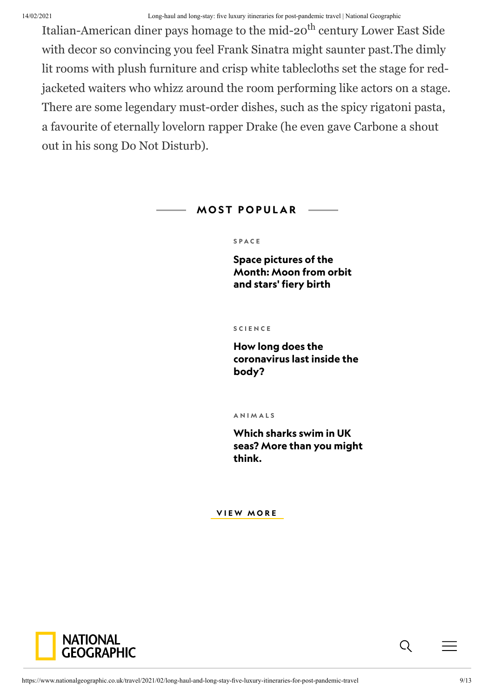#### 14/02/2021 Long-haul and long-stay: five luxury itineraries for post-pandemic travel | National Geographic

Italian-American diner pays homage to the mid-20<sup>th</sup> century Lower East Side with decor so convincing you feel Frank Sinatra might saunter past.The dimly lit rooms with plush furniture and crisp white tablecloths set the stage for redjacketed waiters who whizz around the room performing like actors on a stage. There are some legendary must-order dishes, such as the spicy rigatoni pasta, a favourite of eternally lovelorn rapper Drake (he even gave Carbone a shout out in his song Do Not Disturb).

#### **MOST POPULAR**

#### [S P A C E](https://www.nationalgeographic.co.uk/space)

Space pictures of the [Month: Moon from orbit](https://www.nationalgeographic.co.uk/space/2019/06/space-pictures-month-moon-orbit-and-stars-fiery-birth) and stars' fiery birth

#### [S C I E N C E](https://www.nationalgeographic.co.uk/science)

How long does the [coronavirus last inside the](https://www.nationalgeographic.co.uk/science-and-technology/2020/06/how-long-does-the-coronavirus-last-inside-the-body) body?

**ANIMALS** 

Which sharks swim in UK [seas? More than you might](https://www.nationalgeographic.co.uk/animals/2020/07/which-sharks-swim-in-uk-seas-more-than-you-might-think) think.

**VIEW MORE** 

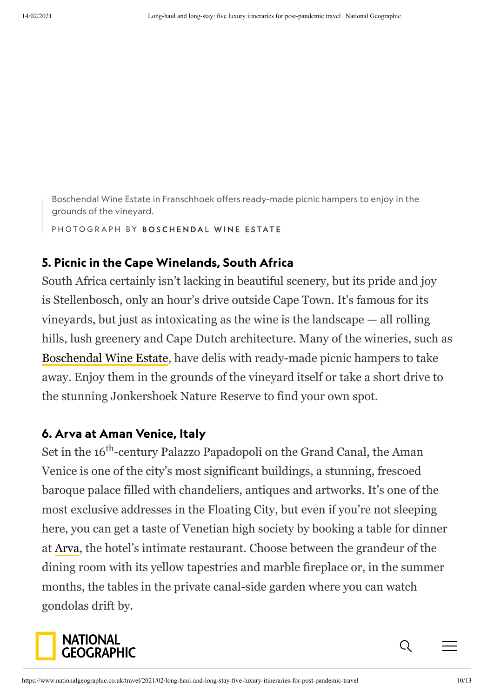Boschendal Wine Estate in Franschhoek offers ready-made picnic hampers to enjoy in the grounds of the vineyard.

PHOTOGRAPH BY BOSCHENDAL WINE ESTATE

### 5. Picnic in the Cape Winelands, South Africa

South Africa certainly isn't lacking in beautiful scenery, but its pride and joy is Stellenbosch, only an hour's drive outside Cape Town. It's famous for its vineyards, but just as intoxicating as the wine is the landscape — all rolling hills, lush greenery and Cape Dutch architecture. Many of the wineries, such as [Boschendal Wine Estate,](https://www.boschendal.com/) have delis with ready-made picnic hampers to take away. Enjoy them in the grounds of the vineyard itself or take a short drive to the stunning Jonkershoek Nature Reserve to find your own spot.

### 6. Arva at Aman Venice, Italy

Set in the 16<sup>th</sup>-century Palazzo Papadopoli on the Grand Canal, the Aman Venice is one of the city's most significant buildings, a stunning, frescoed baroque palace filled with chandeliers, antiques and artworks. It's one of the most exclusive addresses in the Floating City, but even if you're not sleeping here, you can get a taste of Venetian high society by booking a table for dinner at [Arva](https://www.aman.com/resorts/aman-venice/dining-arva), the hotel's intimate restaurant. Choose between the grandeur of the dining room with its yellow tapestries and marble fireplace or, in the summer months, the tables in the private canal-side garden where you can watch gondolas drift by.



 $\Omega$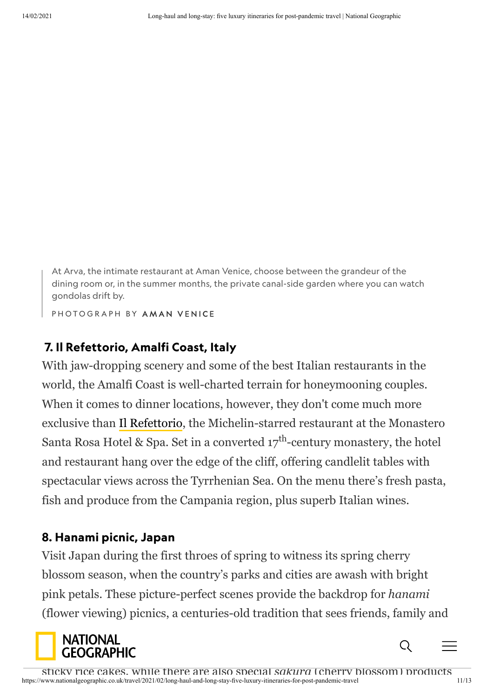At Arva, the intimate restaurant at Aman Venice, choose between the grandeur of the dining room or, in the summer months, the private canal-side garden where you can watch gondolas drift by.

P H O T O G R A P H B Y A M A N V E N I C E

## 7. Il Refettorio, Amalfi Coast, Italy

With jaw-dropping scenery and some of the best Italian restaurants in the world, the Amalfi Coast is well-charted terrain for honeymooning couples. When it comes to dinner locations, however, they don't come much more exclusive than [Il Refettorio](https://monasterosantarosa.com/dining/), the Michelin-starred restaurant at the Monastero Santa Rosa Hotel & Spa. Set in a converted  $17^{\text{th}}$ -century monastery, the hotel and restaurant hang over the edge of the cliff, offering candlelit tables with spectacular views across the Tyrrhenian Sea. On the menu there's fresh pasta, fish and produce from the Campania region, plus superb Italian wines.

### 8. Hanami picnic, Japan

Visit Japan during the first throes of spring to witness its spring cherry blossom season, when the country's parks and cities are awash with bright pink petals. These picture-perfect scenes provide the backdrop for *hanami* (flower viewing) picnics, a centuries-old tradition that sees friends, family and

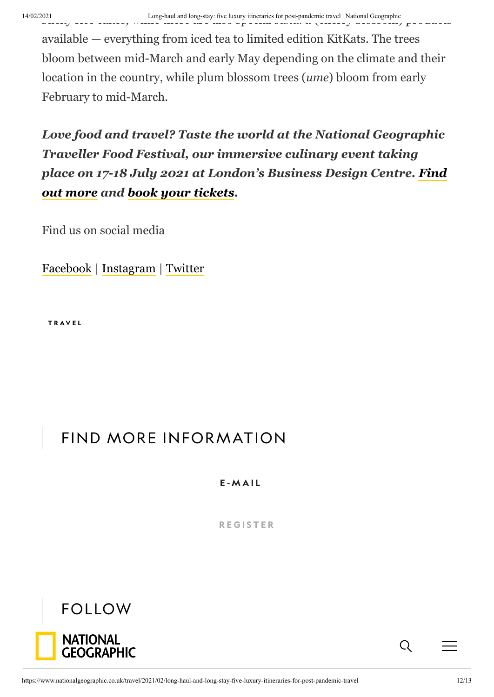available — everything from iced tea to limited edition KitKats. The trees bloom between mid-March and early May depending on the climate and their location in the country, while plum blossom trees (*ume*) bloom from early February to mid-March.

*Love food and travel? Taste the world at the National Geographic Traveller Food Festival, our immersive culinary event taking [place on 17-18 July 2021 at London's Business Design Centre. Find](https://foodfestival.natgeotraveller.co.uk/ngtwebsitefebruary21) out more and [book your tickets](https://foodfestival.natgeotraveller.co.uk/ngtwebsitefebruary21).*

Find us on social media

[Facebook](https://www.facebook.com/NatGeoTravelUK/) | [Instagram](https://www.instagram.com/natgeotraveluk/) | [Twitter](https://twitter.com/natgeotraveluk/)

[T R A V E L](https://www.nationalgeographic.co.uk/travel)

# FIND MORE INFORMATION

E - M A I L

**REGISTER**